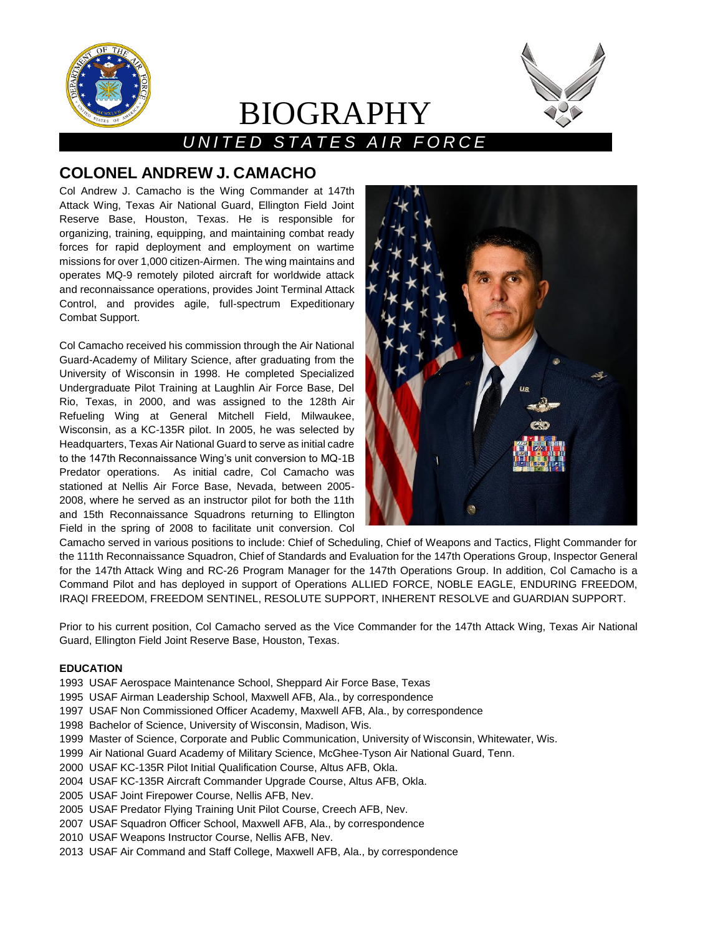

# *U N I T E D S T A T E S A I R F O R C E*

BIOGRAPHY

## **COLONEL ANDREW J. CAMACHO**

Col Andrew J. Camacho is the Wing Commander at 147th Attack Wing, Texas Air National Guard, Ellington Field Joint Reserve Base, Houston, Texas. He is responsible for organizing, training, equipping, and maintaining combat ready forces for rapid deployment and employment on wartime missions for over 1,000 citizen-Airmen. The wing maintains and operates MQ-9 remotely piloted aircraft for worldwide attack and reconnaissance operations, provides Joint Terminal Attack Control, and provides agile, full-spectrum Expeditionary Combat Support.

Col Camacho received his commission through the Air National Guard-Academy of Military Science, after graduating from the University of Wisconsin in 1998. He completed Specialized Undergraduate Pilot Training at Laughlin Air Force Base, Del Rio, Texas, in 2000, and was assigned to the 128th Air Refueling Wing at General Mitchell Field, Milwaukee, Wisconsin, as a KC-135R pilot. In 2005, he was selected by Headquarters, Texas Air National Guard to serve as initial cadre to the 147th Reconnaissance Wing's unit conversion to MQ-1B Predator operations. As initial cadre, Col Camacho was stationed at Nellis Air Force Base, Nevada, between 2005- 2008, where he served as an instructor pilot for both the 11th and 15th Reconnaissance Squadrons returning to Ellington Field in the spring of 2008 to facilitate unit conversion. Col



Camacho served in various positions to include: Chief of Scheduling, Chief of Weapons and Tactics, Flight Commander for the 111th Reconnaissance Squadron, Chief of Standards and Evaluation for the 147th Operations Group, Inspector General for the 147th Attack Wing and RC-26 Program Manager for the 147th Operations Group. In addition, Col Camacho is a Command Pilot and has deployed in support of Operations ALLIED FORCE, NOBLE EAGLE, ENDURING FREEDOM, IRAQI FREEDOM, FREEDOM SENTINEL, RESOLUTE SUPPORT, INHERENT RESOLVE and GUARDIAN SUPPORT.

Prior to his current position, Col Camacho served as the Vice Commander for the 147th Attack Wing, Texas Air National Guard, Ellington Field Joint Reserve Base, Houston, Texas.

#### **EDUCATION**

- 1993 USAF Aerospace Maintenance School, Sheppard Air Force Base, Texas
- 1995 USAF Airman Leadership School, Maxwell AFB, Ala., by correspondence
- 1997 USAF Non Commissioned Officer Academy, Maxwell AFB, Ala., by correspondence
- 1998 Bachelor of Science, University of Wisconsin, Madison, Wis.
- 1999 Master of Science, Corporate and Public Communication, University of Wisconsin, Whitewater, Wis.
- 1999 Air National Guard Academy of Military Science, McGhee-Tyson Air National Guard, Tenn.
- 2000 USAF KC-135R Pilot Initial Qualification Course, Altus AFB, Okla.
- 2004 USAF KC-135R Aircraft Commander Upgrade Course, Altus AFB, Okla.
- 2005 USAF Joint Firepower Course, Nellis AFB, Nev.
- 2005 USAF Predator Flying Training Unit Pilot Course, Creech AFB, Nev.
- 2007 USAF Squadron Officer School, Maxwell AFB, Ala., by correspondence
- 2010 USAF Weapons Instructor Course, Nellis AFB, Nev.
- 2013 USAF Air Command and Staff College, Maxwell AFB, Ala., by correspondence